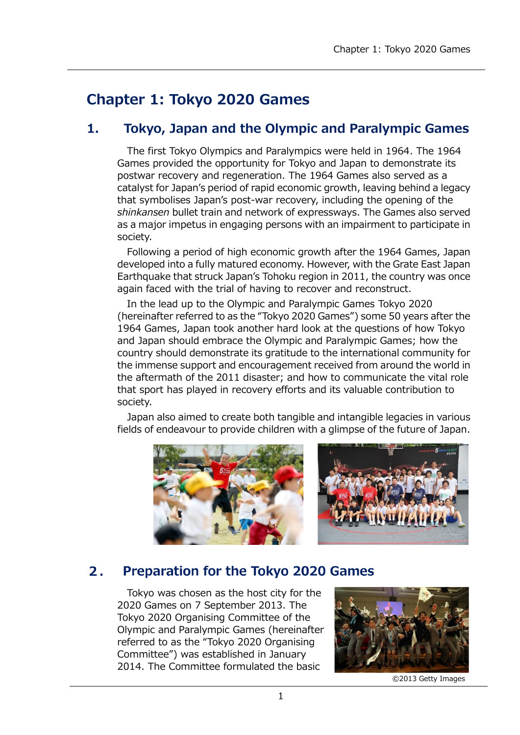# **Chapter 1: Tokyo 2020 Games**

## **1. Tokyo, Japan and the Olympic and Paralympic Games**

The first Tokyo Olympics and Paralympics were held in 1964. The 1964 Games provided the opportunity for Tokyo and Japan to demonstrate its postwar recovery and regeneration. The 1964 Games also served as a catalyst for Japan's period of rapid economic growth, leaving behind a legacy that symbolises Japan's post-war recovery, including the opening of the *shinkansen* bullet train and network of expressways. The Games also served as a major impetus in engaging persons with an impairment to participate in society.

Following a period of high economic growth after the 1964 Games, Japan developed into a fully matured economy. However, with the Grate East Japan Earthquake that struck Japan's Tohoku region in 2011, the country was once again faced with the trial of having to recover and reconstruct.

In the lead up to the Olympic and Paralympic Games Tokyo 2020 (hereinafter referred to as the "Tokyo 2020 Games") some 50 years after the 1964 Games, Japan took another hard look at the questions of how Tokyo and Japan should embrace the Olympic and Paralympic Games; how the country should demonstrate its gratitude to the international community for the immense support and encouragement received from around the world in the aftermath of the 2011 disaster; and how to communicate the vital role that sport has played in recovery efforts and its valuable contribution to society.

Japan also aimed to create both tangible and intangible legacies in various fields of endeavour to provide children with a glimpse of the future of Japan.





#### $2.$ **Preparation for the Tokyo 2020 Games**

Tokyo was chosen as the host city for the 2020 Games on 7 September 2013. The Tokyo 2020 Organising Committee of the Olympic and Paralympic Games (hereinafter referred to as the "Tokyo 2020 Organising Committee") was established in January 2014. The Committee formulated the basic



©2013 Getty Images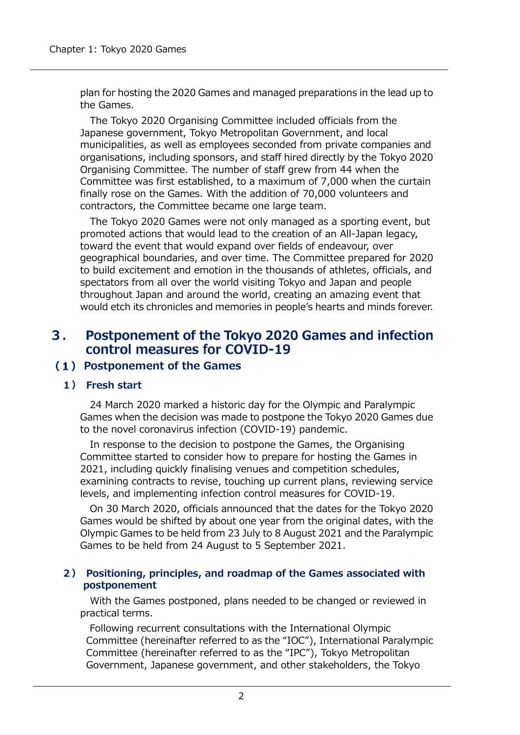plan for hosting the 2020 Games and managed preparations in the lead up to the Games.

The Tokyo 2020 Organising Committee included officials from the Japanese government, Tokyo Metropolitan Government, and local municipalities, as well as employees seconded from private companies and organisations, including sponsors, and staff hired directly by the Tokyo 2020 Organising Committee. The number of staff grew from 44 when the Committee was first established, to a maximum of 7,000 when the curtain finally rose on the Games. With the addition of 70,000 volunteers and contractors, the Committee became one large team.

The Tokyo 2020 Games were not only managed as a sporting event, but promoted actions that would lead to the creation of an All-Japan legacy, toward the event that would expand over fields of endeavour, over geographical boundaries, and over time. The Committee prepared for 2020 to build excitement and emotion in the thousands of athletes, officials, and spectators from all over the world visiting Tokyo and Japan and people throughout Japan and around the world, creating an amazing event that would etch its chronicles and memories in people's hearts and minds forever.

#### $3.$ Postponement of the Tokyo 2020 Games and infection control measures for COVID-19

### **Postponement of the Games**

#### **1) Fresh start**

24 March 2020 marked a historic day for the Olympic and Paralympic Games when the decision was made to postpone the Tokyo 2020 Games due to the novel coronavirus infection (COVID-19) pandemic.

In response to the decision to postpone the Games, the Organising Committee started to consider how to prepare for hosting the Games in 2021, including quickly finalising venues and competition schedules, examining contracts to revise, touching up current plans, reviewing service levels, and implementing infection control measures for COVID-19.

On 30 March 2020, officials announced that the dates for the Tokyo 2020 Games would be shifted by about one year from the original dates, with the Olympic Games to be held from 23 July to 8 August 2021 and the Paralympic Games to be held from 24 August to 5 September 2021.

#### **2) Positioning, principles, and roadmap of the Games associated with postponement**

With the Games postponed, plans needed to be changed or reviewed in practical terms.

Following recurrent consultations with the International Olympic Committee (hereinafter referred to as the "IOC"), International Paralympic Committee (hereinafter referred to as the "IPC"), Tokyo Metropolitan Government, Japanese government, and other stakeholders, the Tokyo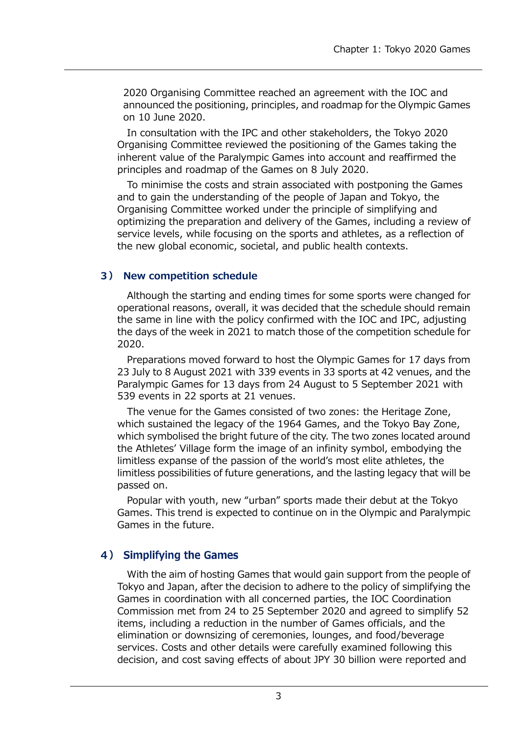2020 Organising Committee reached an agreement with the IOC and announced the positioning, principles, and roadmap for the Olympic Games on 10 June 2020.

In consultation with the IPC and other stakeholders, the Tokyo 2020 Organising Committee reviewed the positioning of the Games taking the inherent value of the Paralympic Games into account and reaffirmed the principles and roadmap of the Games on 8 July 2020.

To minimise the costs and strain associated with postponing the Games and to gain the understanding of the people of Japan and Tokyo, the Organising Committee worked under the principle of simplifying and optimizing the preparation and delivery of the Games, including a review of service levels, while focusing on the sports and athletes, as a reflection of the new global economic, societal, and public health contexts.

#### **3) New competition schedule**

Although the starting and ending times for some sports were changed for operational reasons, overall, it was decided that the schedule should remain the same in line with the policy confirmed with the IOC and IPC, adjusting the days of the week in 2021 to match those of the competition schedule for 2020.

Preparations moved forward to host the Olympic Games for 17 days from 23 July to 8 August 2021 with 339 events in 33 sports at 42 venues, and the Paralympic Games for 13 days from 24 August to 5 September 2021 with 539 events in 22 sports at 21 venues.

The venue for the Games consisted of two zones: the Heritage Zone, which sustained the legacy of the 1964 Games, and the Tokyo Bay Zone, which symbolised the bright future of the city. The two zones located around the Athletes' Village form the image of an infinity symbol, embodying the limitless expanse of the passion of the world's most elite athletes, the limitless possibilities of future generations, and the lasting legacy that will be passed on.

Popular with youth, new "urban" sports made their debut at the Tokyo Games. This trend is expected to continue on in the Olympic and Paralympic Games in the future.

### 4) Simplifying the Games

With the aim of hosting Games that would gain support from the people of Tokyo and Japan, after the decision to adhere to the policy of simplifying the Games in coordination with all concerned parties, the IOC Coordination Commission met from 24 to 25 September 2020 and agreed to simplify 52 items, including a reduction in the number of Games officials, and the elimination or downsizing of ceremonies, lounges, and food/beverage services. Costs and other details were carefully examined following this decision, and cost saving effects of about JPY 30 billion were reported and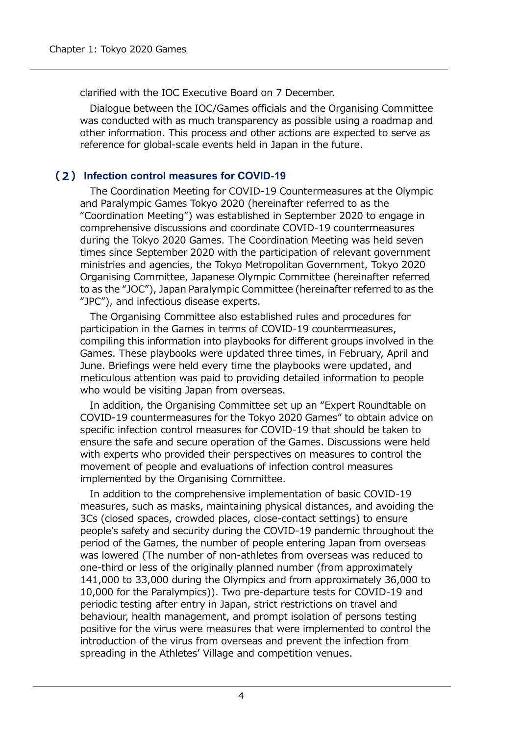clarified with the IOC Executive Board on 7 December.

Dialogue between the IOC/Games officials and the Organising Committee was conducted with as much transparency as possible using a roadmap and other information. This process and other actions are expected to serve as reference for global-scale events held in Japan in the future.

### **Infection control measures for COVID-19**

The Coordination Meeting for COVID-19 Countermeasures at the Olympic and Paralympic Games Tokyo 2020 (hereinafter referred to as the "Coordination Meeting") was established in September 2020 to engage in comprehensive discussions and coordinate COVID-19 countermeasures during the Tokyo 2020 Games. The Coordination Meeting was held seven times since September 2020 with the participation of relevant government ministries and agencies, the Tokyo Metropolitan Government, Tokyo 2020 Organising Committee, Japanese Olympic Committee (hereinafter referred to as the "JOC"), Japan Paralympic Committee (hereinafter referred to as the "JPC"), and infectious disease experts.

The Organising Committee also established rules and procedures for participation in the Games in terms of COVID-19 countermeasures, compiling this information into playbooks for different groups involved in the Games. These playbooks were updated three times, in February, April and June. Briefings were held every time the playbooks were updated, and meticulous attention was paid to providing detailed information to people who would be visiting Japan from overseas.

In addition, the Organising Committee set up an "Expert Roundtable on COVID-19 countermeasures for the Tokyo 2020 Games" to obtain advice on specific infection control measures for COVID-19 that should be taken to ensure the safe and secure operation of the Games. Discussions were held with experts who provided their perspectives on measures to control the movement of people and evaluations of infection control measures implemented by the Organising Committee.

In addition to the comprehensive implementation of basic COVID-19 measures, such as masks, maintaining physical distances, and avoiding the 3Cs (closed spaces, crowded places, close-contact settings) to ensure people's safety and security during the COVID-19 pandemic throughout the period of the Games, the number of people entering Japan from overseas was lowered (The number of non-athletes from overseas was reduced to one-third or less of the originally planned number (from approximately 141,000 to 33,000 during the Olympics and from approximately 36,000 to 10,000 for the Paralympics)). Two pre-departure tests for COVID-19 and periodic testing after entry in Japan, strict restrictions on travel and behaviour, health management, and prompt isolation of persons testing positive for the virus were measures that were implemented to control the introduction of the virus from overseas and prevent the infection from spreading in the Athletes' Village and competition venues.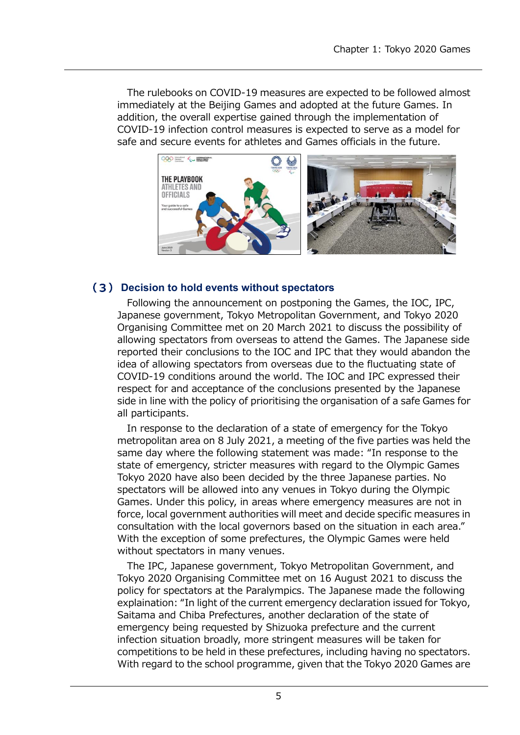The rulebooks on COVID-19 measures are expected to be followed almost immediately at the Beijing Games and adopted at the future Games. In addition, the overall expertise gained through the implementation of COVID-19 infection control measures is expected to serve as a model for safe and secure events for athletes and Games officials in the future.



#### **Decision to hold events without spectators**

Following the announcement on postponing the Games, the IOC, IPC, Japanese government, Tokyo Metropolitan Government, and Tokyo 2020 Organising Committee met on 20 March 2021 to discuss the possibility of allowing spectators from overseas to attend the Games. The Japanese side reported their conclusions to the IOC and IPC that they would abandon the idea of allowing spectators from overseas due to the fluctuating state of COVID-19 conditions around the world. The IOC and IPC expressed their respect for and acceptance of the conclusions presented by the Japanese side in line with the policy of prioritising the organisation of a safe Games for all participants.

In response to the declaration of a state of emergency for the Tokyo metropolitan area on 8 July 2021, a meeting of the five parties was held the same day where the following statement was made: "In response to the state of emergency, stricter measures with regard to the Olympic Games Tokyo 2020 have also been decided by the three Japanese parties. No spectators will be allowed into any venues in Tokyo during the Olympic Games. Under this policy, in areas where emergency measures are not in force, local government authorities will meet and decide specific measures in consultation with the local governors based on the situation in each area." With the exception of some prefectures, the Olympic Games were held without spectators in many venues.

The IPC, Japanese government, Tokyo Metropolitan Government, and Tokyo 2020 Organising Committee met on 16 August 2021 to discuss the policy for spectators at the Paralympics. The Japanese made the following explaination: "In light of the current emergency declaration issued for Tokyo, Saitama and Chiba Prefectures, another declaration of the state of emergency being requested by Shizuoka prefecture and the current infection situation broadly, more stringent measures will be taken for competitions to be held in these prefectures, including having no spectators. With regard to the school programme, given that the Tokyo 2020 Games are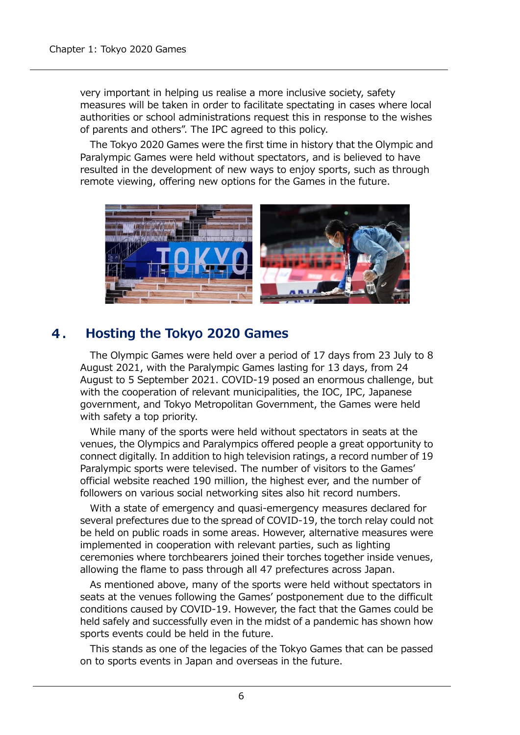very important in helping us realise a more inclusive society, safety measures will be taken in order to facilitate spectating in cases where local authorities or school administrations request this in response to the wishes of parents and others". The IPC agreed to this policy.

The Tokyo 2020 Games were the first time in history that the Olympic and Paralympic Games were held without spectators, and is believed to have resulted in the development of new ways to enjoy sports, such as through remote viewing, offering new options for the Games in the future.



#### 4. **Hosting the Tokyo 2020 Games**

The Olympic Games were held over a period of 17 days from 23 July to 8 August 2021, with the Paralympic Games lasting for 13 days, from 24 August to 5 September 2021. COVID-19 posed an enormous challenge, but with the cooperation of relevant municipalities, the IOC, IPC, Japanese government, and Tokyo Metropolitan Government, the Games were held with safety a top priority.

While many of the sports were held without spectators in seats at the venues, the Olympics and Paralympics offered people a great opportunity to connect digitally. In addition to high television ratings, a record number of 19 Paralympic sports were televised. The number of visitors to the Games' official website reached 190 million, the highest ever, and the number of followers on various social networking sites also hit record numbers.

With a state of emergency and quasi-emergency measures declared for several prefectures due to the spread of COVID-19, the torch relay could not be held on public roads in some areas. However, alternative measures were implemented in cooperation with relevant parties, such as lighting ceremonies where torchbearers joined their torches together inside venues, allowing the flame to pass through all 47 prefectures across Japan.

As mentioned above, many of the sports were held without spectators in seats at the venues following the Games' postponement due to the difficult conditions caused by COVID-19. However, the fact that the Games could be held safely and successfully even in the midst of a pandemic has shown how sports events could be held in the future.

This stands as one of the legacies of the Tokyo Games that can be passed on to sports events in Japan and overseas in the future.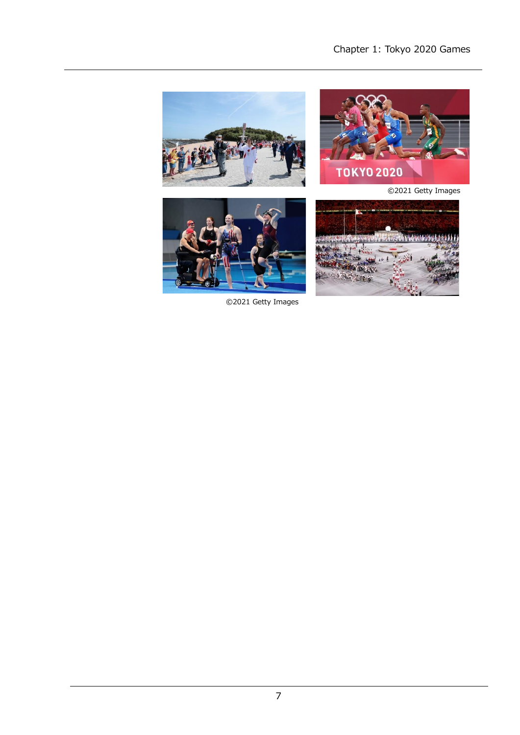